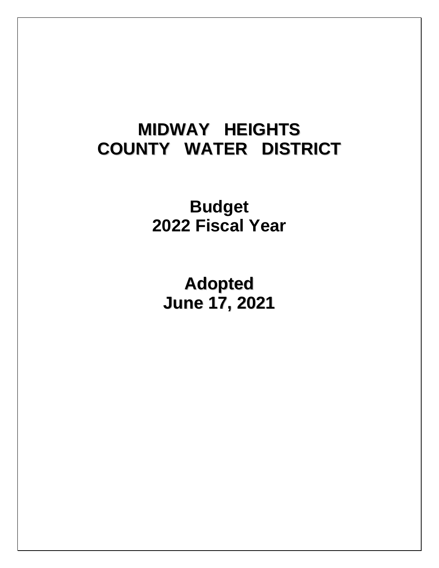# **MIDWAY HEIGHTS COUNTY WATER DISTRICT**

**Budget 2022 Fiscal Year**

**Adopted June 17, 2021**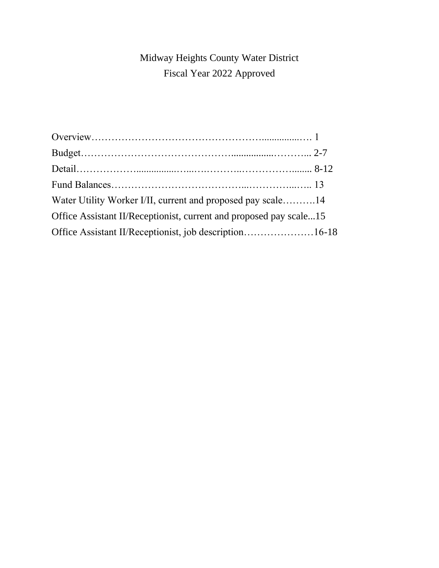# Midway Heights County Water District Fiscal Year 2022 Approved

| Water Utility Worker I/II, current and proposed pay scale14        |  |
|--------------------------------------------------------------------|--|
| Office Assistant II/Receptionist, current and proposed pay scale15 |  |
| Office Assistant II/Receptionist, job description16-18             |  |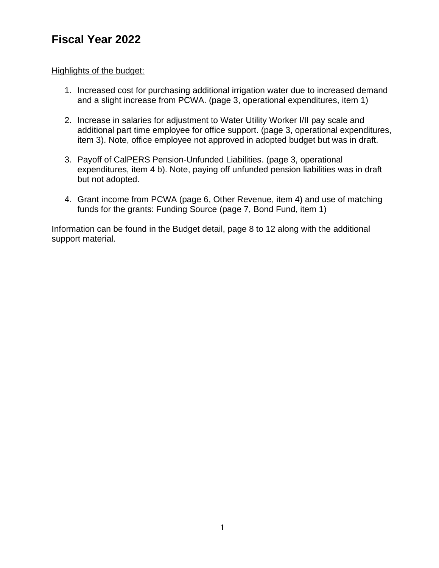# **Fiscal Year 2022**

## Highlights of the budget:

- 1. Increased cost for purchasing additional irrigation water due to increased demand and a slight increase from PCWA. (page 3, operational expenditures, item 1)
- 2. Increase in salaries for adjustment to Water Utility Worker I/II pay scale and additional part time employee for office support. (page 3, operational expenditures, item 3). Note, office employee not approved in adopted budget but was in draft.
- 3. Payoff of CalPERS Pension-Unfunded Liabilities. (page 3, operational expenditures, item 4 b). Note, paying off unfunded pension liabilities was in draft but not adopted.
- 4. Grant income from PCWA (page 6, Other Revenue, item 4) and use of matching funds for the grants: Funding Source (page 7, Bond Fund, item 1)

Information can be found in the Budget detail, page 8 to 12 along with the additional support material.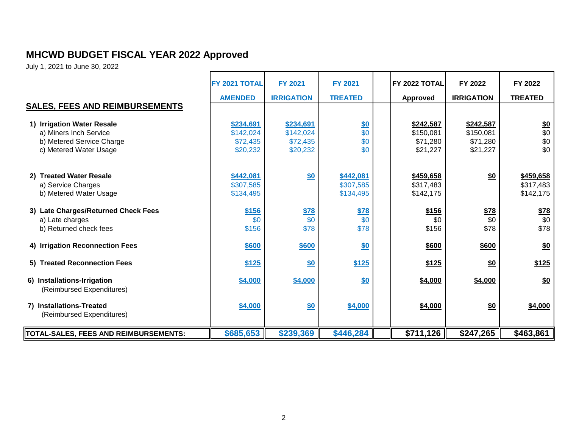# **MHCWD BUDGET FISCAL YEAR 2022 Approved**

July 1, 2021 to June 30, 2022

|                                                                                                             | FY 2021 TOTAL                                  | <b>FY 2021</b>                                 | <b>FY 2021</b>                      | <b>FY 2022 TOTAL</b>                           | FY 2022                                        | FY 2022                             |
|-------------------------------------------------------------------------------------------------------------|------------------------------------------------|------------------------------------------------|-------------------------------------|------------------------------------------------|------------------------------------------------|-------------------------------------|
|                                                                                                             | <b>AMENDED</b>                                 | <b>IRRIGATION</b>                              | <b>TREATED</b>                      | <b>Approved</b>                                | <b>IRRIGATION</b>                              | <b>TREATED</b>                      |
| <b>SALES, FEES AND REIMBURSEMENTS</b>                                                                       |                                                |                                                |                                     |                                                |                                                |                                     |
| 1) Irrigation Water Resale<br>a) Miners Inch Service<br>b) Metered Service Charge<br>c) Metered Water Usage | \$234,691<br>\$142,024<br>\$72,435<br>\$20,232 | \$234,691<br>\$142,024<br>\$72,435<br>\$20,232 | <u>\$0</u><br>\$0<br>\$0<br>\$0     | \$242,587<br>\$150,081<br>\$71,280<br>\$21,227 | \$242,587<br>\$150,081<br>\$71,280<br>\$21,227 | $\frac{$0}{$0}$<br>\$0<br>\$0       |
| 2) Treated Water Resale<br>a) Service Charges<br>b) Metered Water Usage                                     | \$442,081<br>\$307,585<br>\$134,495            | \$0                                            | \$442,081<br>\$307,585<br>\$134,495 | \$459,658<br>\$317,483<br>\$142,175            | \$0                                            | \$459,658<br>\$317,483<br>\$142,175 |
| 3) Late Charges/Returned Check Fees<br>a) Late charges<br>b) Returned check fees                            | \$156<br>\$0<br>\$156                          | $\frac{$78}{90}$<br>\$78                       | $\frac{$78}{90}$<br>\$78            | \$156<br>\$0<br>\$156                          | <u>\$78</u><br>\$0<br>\$78                     | \$78<br>\$0<br>\$78                 |
| 4) Irrigation Reconnection Fees                                                                             | \$600                                          | \$600                                          | \$0                                 | \$600                                          | \$600                                          | \$0                                 |
| 5) Treated Reconnection Fees                                                                                | \$125                                          | \$0                                            | \$125                               | \$125                                          | \$0                                            | \$125                               |
| 6) Installations-Irrigation<br>(Reimbursed Expenditures)                                                    | \$4,000                                        | \$4,000                                        | \$0                                 | \$4,000                                        | \$4,000                                        | $\underline{\$0}$                   |
| 7) Installations-Treated<br>(Reimbursed Expenditures)                                                       | \$4,000                                        | \$0                                            | \$4,000                             | \$4,000                                        | \$0                                            | \$4,000                             |
| TOTAL-SALES, FEES AND REIMBURSEMENTS:                                                                       | \$685,653                                      | \$239,369                                      | \$446,284                           | \$711,126                                      | \$247,265                                      | \$463,861                           |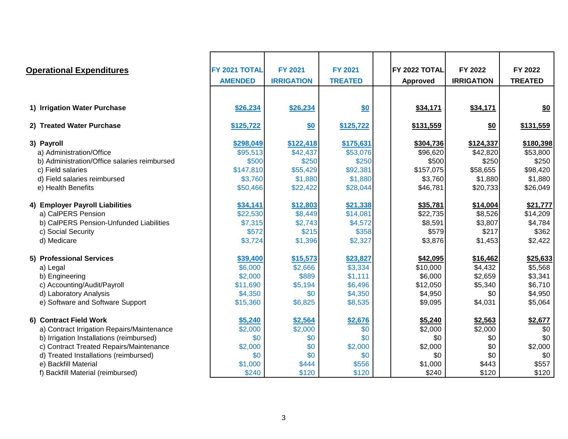| <b>Operational Expenditures</b>              | FY 2021 TOTAL  | <b>FY 2021</b>    | <b>FY 2021</b> | IFY 2022 TOTAL  | FY 2022           | FY 2022        |
|----------------------------------------------|----------------|-------------------|----------------|-----------------|-------------------|----------------|
|                                              | <b>AMENDED</b> | <b>IRRIGATION</b> | <b>TREATED</b> | <b>Approved</b> | <b>IRRIGATION</b> | <b>TREATED</b> |
|                                              |                |                   |                |                 |                   |                |
| 1) Irrigation Water Purchase                 | \$26,234       | \$26,234          | \$0            | \$34,171        | \$34,171          | \$0            |
| 2) Treated Water Purchase                    | \$125,722      | \$0               | \$125,722      | \$131,559       | \$0               | \$131,559      |
| 3) Payroll                                   | \$298,049      | \$122,418         | \$175,631      | \$304,736       | \$124,337         | \$180,398      |
| a) Administration/Office                     | \$95,513       | \$42,437          | \$53,076       | \$96,620        | \$42,820          | \$53,800       |
| b) Administration/Office salaries reimbursed | \$500          | \$250             | \$250          | \$500           | \$250             | \$250          |
| c) Field salaries                            | \$147,810      | \$55,429          | \$92,381       | \$157,075       | \$58,655          | \$98,420       |
| d) Field salaries reimbursed                 | \$3,760        | \$1,880           | \$1,880        | \$3,760         | \$1,880           | \$1,880        |
| e) Health Benefits                           | \$50,466       | \$22,422          | \$28,044       | \$46,781        | \$20,733          | \$26,049       |
| 4) Employer Payroll Liabilities              | \$34,141       | \$12,803          | \$21,338       | \$35,781        | \$14,004          | \$21,777       |
| a) CalPERS Pension                           | \$22,530       | \$8,449           | \$14,081       | \$22,735        | \$8,526           | \$14,209       |
| b) CalPERS Pension-Unfunded Liabilities      | \$7,315        | \$2,743           | \$4,572        | \$8,591         | \$3,807           | \$4,784        |
| c) Social Security                           | \$572          | \$215             | \$358          | \$579           | \$217             | \$362          |
| d) Medicare                                  | \$3,724        | \$1,396           | \$2,327        | \$3,876         | \$1,453           | \$2,422        |
| 5) Professional Services                     | \$39,400       | \$15,573          | \$23,827       | \$42,095        | \$16,462          | \$25,633       |
| a) Legal                                     | \$6,000        | \$2,666           | \$3,334        | \$10,000        | \$4,432           | \$5,568        |
| b) Engineering                               | \$2,000        | \$889             | \$1,111        | \$6,000         | \$2,659           | \$3,341        |
| c) Accounting/Audit/Payroll                  | \$11,690       | \$5,194           | \$6,496        | \$12,050        | \$5,340           | \$6,710        |
| d) Laboratory Analysis                       | \$4,350        | \$0               | \$4,350        | \$4,950         | \$0               | \$4,950        |
| e) Software and Software Support             | \$15,360       | \$6,825           | \$8,535        | \$9,095         | \$4,031           | \$5,064        |
| 6) Contract Field Work                       | \$5,240        | \$2,564           | \$2,676        | \$5,240         | \$2,563           | \$2,677        |
| a) Contract Irrigation Repairs/Maintenance   | \$2,000        | \$2,000           | \$0            | \$2,000         | \$2,000           | \$0            |
| b) Irrigation Installations (reimbursed)     | \$0            | \$0               | \$0            | \$0             | \$0               | \$0            |
| c) Contract Treated Repairs/Maintenance      | \$2,000        | \$0               | \$2,000        | \$2,000         | \$0               | \$2,000        |
| d) Treated Installations (reimbursed)        | \$0            | \$0               | \$0            | \$0             | \$0               | \$0            |
| e) Backfill Material                         | \$1,000        | \$444             | \$556          | \$1,000         | \$443             | \$557          |
| f) Backfill Material (reimbursed)            | \$240          | \$120             | \$120          | \$240           | \$120             | \$120          |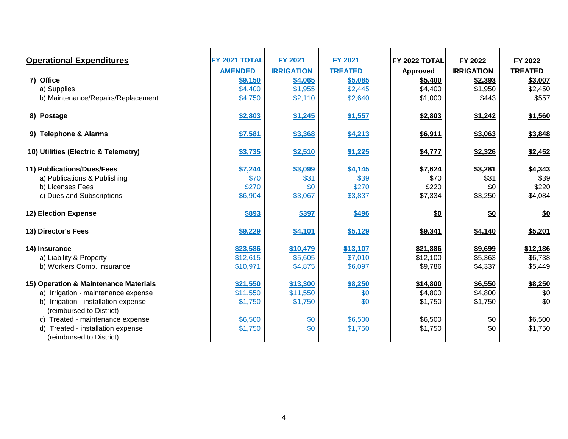| <b>Operational Expenditures</b>       | FY 2021 TOTAL  | <b>FY 2021</b>    | <b>FY 2021</b> | FY 2022 TOTAL | FY 2022           | FY 2022           |
|---------------------------------------|----------------|-------------------|----------------|---------------|-------------------|-------------------|
|                                       | <b>AMENDED</b> | <b>IRRIGATION</b> | <b>TREATED</b> | Approved      | <b>IRRIGATION</b> | <b>TREATED</b>    |
| 7) Office                             | \$9,150        | \$4,065           | \$5,085        | \$5,400       | \$2,393           | \$3,007           |
| a) Supplies                           | \$4,400        | \$1,955           | \$2,445        | \$4,400       | \$1,950           | \$2,450           |
| b) Maintenance/Repairs/Replacement    | \$4,750        | \$2,110           | \$2,640        | \$1,000       | \$443             | \$557             |
| 8) Postage                            | \$2,803        | \$1,245           | \$1,557        | \$2,803       | \$1,242           | \$1,560           |
| 9) Telephone & Alarms                 | \$7,581        | \$3,368           | \$4,213        | \$6,911       | \$3,063           | \$3,848           |
| 10) Utilities (Electric & Telemetry)  | \$3,735        | \$2,510           | \$1,225        | \$4,777       | \$2,326           | \$2,452           |
| 11) Publications/Dues/Fees            | \$7,244        | \$3,099           | \$4,145        | \$7,624       | \$3,281           | \$4,343           |
| a) Publications & Publishing          | \$70           | \$31              | \$39           | \$70          | \$31              | \$39              |
| b) Licenses Fees                      | \$270          | \$0               | \$270          | \$220         | \$0               | \$220             |
| c) Dues and Subscriptions             | \$6,904        | \$3,067           | \$3,837        | \$7,334       | \$3,250           | \$4,084           |
| 12) Election Expense                  | \$893          | \$397             | \$496          | \$0           | \$0               | $\underline{\$0}$ |
| 13) Director's Fees                   | \$9,229        | \$4,101           | \$5,129        | \$9,341       | \$4,140           | \$5,201           |
| 14) Insurance                         | \$23,586       | \$10,479          | \$13,107       | \$21,886      | \$9,699           | \$12,186          |
| a) Liability & Property               | \$12,615       | \$5,605           | \$7,010        | \$12,100      | \$5,363           | \$6,738           |
| b) Workers Comp. Insurance            | \$10,971       | \$4,875           | \$6,097        | \$9,786       | \$4,337           | \$5,449           |
| 15) Operation & Maintenance Materials | \$21,550       | \$13,300          | \$8,250        | \$14,800      | \$6,550           | \$8,250           |
| a) Irrigation - maintenance expense   | \$11,550       | \$11,550          | \$0            | \$4,800       | \$4,800           | \$0               |
| b) Irrigation - installation expense  | \$1,750        | \$1,750           | \$0            | \$1,750       | \$1,750           | \$0               |
| (reimbursed to District)              |                |                   |                |               |                   |                   |
| Treated - maintenance expense<br>C)   | \$6,500        | \$0               | \$6,500        | \$6,500       | \$0               | \$6,500           |
| d) Treated - installation expense     | \$1,750        | \$0               | \$1,750        | \$1,750       | \$0               | \$1,750           |
| (reimbursed to District)              |                |                   |                |               |                   |                   |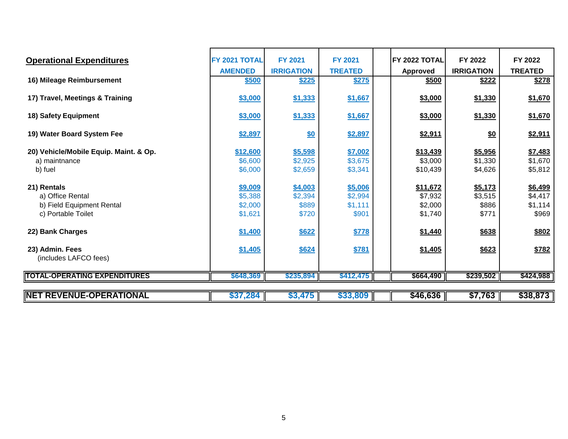| <b>Operational Expenditures</b>        | FY 2021 TOTAL  | <b>FY 2021</b>    | <b>FY 2021</b> | FY 2022 TOTAL | FY 2022           | FY 2022        |
|----------------------------------------|----------------|-------------------|----------------|---------------|-------------------|----------------|
|                                        | <b>AMENDED</b> | <b>IRRIGATION</b> | <b>TREATED</b> | Approved      | <b>IRRIGATION</b> | <b>TREATED</b> |
| 16) Mileage Reimbursement              | \$500          | \$225             | \$275          | \$500         | \$222             | \$278          |
| 17) Travel, Meetings & Training        | \$3,000        | \$1,333           | \$1,667        | \$3,000       | \$1,330           | \$1,670        |
| 18) Safety Equipment                   | \$3,000        | \$1,333           | \$1,667        | \$3,000       | \$1,330           | \$1,670        |
| 19) Water Board System Fee             | \$2,897        | $\underline{\$0}$ | \$2,897        | \$2,911       | \$0               | \$2,911        |
| 20) Vehicle/Mobile Equip. Maint. & Op. | \$12,600       | \$5,598           | \$7,002        | \$13,439      | \$5,956           | \$7,483        |
| a) maintnance                          | \$6,600        | \$2,925           | \$3,675        | \$3,000       | \$1,330           | \$1,670        |
| b) fuel                                | \$6,000        | \$2,659           | \$3,341        | \$10,439      | \$4,626           | \$5,812        |
| 21) Rentals                            | \$9,009        | \$4,003           | \$5,006        | \$11,672      | \$5,173           | \$6,499        |
| a) Office Rental                       | \$5,388        | \$2,394           | \$2,994        | \$7,932       | \$3,515           | \$4,417        |
| b) Field Equipment Rental              | \$2,000        | \$889             | \$1,111        | \$2,000       | \$886             | \$1,114        |
| c) Portable Toilet                     | \$1,621        | \$720             | \$901          | \$1,740       | \$771             | \$969          |
| 22) Bank Charges                       | \$1,400        | \$622             | \$778          | \$1,440       | \$638             | \$802          |
| 23) Admin. Fees                        | \$1,405        | \$624             | \$781          | \$1,405       | \$623             | \$782          |
| (includes LAFCO fees)                  |                |                   |                |               |                   |                |
| <b>TOTAL-OPERATING EXPENDITURES</b>    | \$648,369      | \$235,894         | \$412,475      | \$664,490     | \$239,502         | \$424,988      |
|                                        |                |                   |                |               |                   |                |
| <b>NET REVENUE-OPERATIONAL</b>         | \$37,284       | \$3,475           | \$33,809       | \$46,636      | \$7,763           | \$38,873       |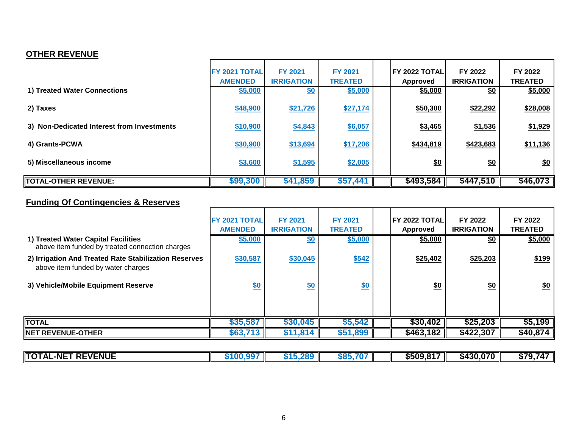## **OTHER REVENUE**

|                                            | <b>FY 2021 TOTAL</b><br><b>AMENDED</b> | <b>FY 2021</b><br><b>IRRIGATION</b> | <b>FY 2021</b><br><b>TREATED</b> | <b>IFY 2022 TOTALI</b><br>Approved | FY 2022<br><b>IRRIGATION</b> | FY 2022<br><b>TREATED</b> |
|--------------------------------------------|----------------------------------------|-------------------------------------|----------------------------------|------------------------------------|------------------------------|---------------------------|
| 1) Treated Water Connections               | \$5,000                                | \$0                                 | \$5,000                          | \$5,000                            | \$0                          | \$5,000                   |
| 2) Taxes                                   | \$48,900                               | \$21,726                            | \$27,174                         | \$50,300                           | \$22,292                     | \$28,008                  |
| 3) Non-Dedicated Interest from Investments | \$10,900                               | \$4,843                             | \$6,057                          | \$3,465                            | \$1,536                      | \$1,929                   |
| 4) Grants-PCWA                             | \$30,900                               | \$13,694                            | \$17,206                         | \$434,819                          | \$423,683                    | \$11,136                  |
| 5) Miscellaneous income                    | \$3,600                                | \$1,595                             | \$2,005                          | \$0                                | \$0                          | \$0                       |
| TOTAL-OTHER REVENUE:                       | \$99,300                               | \$41,859                            | \$57,441                         | \$493,584                          | \$447,510                    | \$46,073                  |

## **Funding Of Contingencies & Reserves**

|                                                                                             | <b>FY 2021 TOTAL</b><br><b>AMENDED</b> | <b>FY 2021</b><br><b>IRRIGATION</b> | <b>FY 2021</b><br><b>TREATED</b> | <b>IFY 2022 TOTALI</b><br>Approved | FY 2022<br><b>IRRIGATION</b> | FY 2022<br><b>TREATED</b> |
|---------------------------------------------------------------------------------------------|----------------------------------------|-------------------------------------|----------------------------------|------------------------------------|------------------------------|---------------------------|
| 1) Treated Water Capital Facilities<br>above item funded by treated connection charges      | \$5,000                                | \$0                                 | \$5,000                          | \$5,000                            | $\frac{6}{20}$               | \$5,000                   |
| 2) Irrigation And Treated Rate Stabilization Reserves<br>above item funded by water charges | \$30,587                               | \$30,045                            | \$542                            | \$25,402                           | \$25,203                     | \$199                     |
| 3) Vehicle/Mobile Equipment Reserve                                                         | \$0                                    | \$0                                 | \$0                              | \$0                                | \$0                          | $\underline{\$0}$         |
|                                                                                             |                                        |                                     |                                  |                                    |                              |                           |
| <b>TOTAL</b>                                                                                | \$35,587                               | \$30,045                            | \$5,542                          | \$30,402                           | \$25,203                     | \$5,199                   |
| <b>NET REVENUE-OTHER</b>                                                                    | \$63,713                               | \$11,814                            | \$51,899                         | \$463,182                          | \$422,307                    | \$40,874                  |

| <b>TOTAL</b><br><b>L-NET REVENUE</b> | ഹ         | <u>non</u><br>71 h. | 585. | \$509,817 | \$430,070 | \$79,747 |
|--------------------------------------|-----------|---------------------|------|-----------|-----------|----------|
|                                      | ' I VV.J. |                     |      |           |           |          |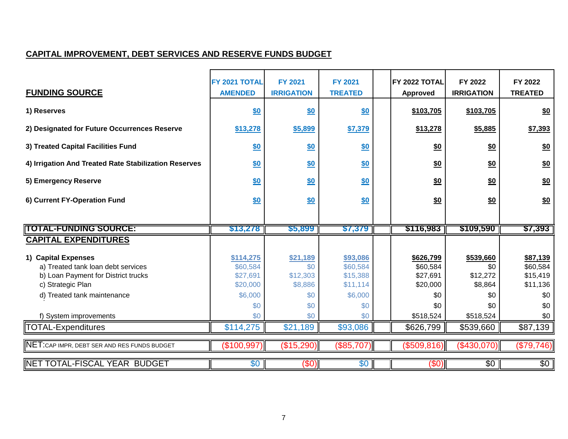## **CAPITAL IMPROVEMENT, DEBT SERVICES AND RESERVE FUNDS BUDGET**

| <b>FUNDING SOURCE</b>                                                                                                                                | FY 2021 TOTAL<br><b>AMENDED</b>                                 | <b>FY 2021</b><br><b>IRRIGATION</b>                  | <b>FY 2021</b><br><b>TREATED</b>                               | FY 2022 TOTAL<br><b>Approved</b>                            | FY 2022<br><b>IRRIGATION</b>                          | FY 2022<br><b>TREATED</b>                                  |
|------------------------------------------------------------------------------------------------------------------------------------------------------|-----------------------------------------------------------------|------------------------------------------------------|----------------------------------------------------------------|-------------------------------------------------------------|-------------------------------------------------------|------------------------------------------------------------|
| 1) Reserves                                                                                                                                          | <u>\$0</u>                                                      | \$0                                                  | <u>\$0</u>                                                     | \$103,705                                                   | \$103,705                                             | \$0                                                        |
| 2) Designated for Future Occurrences Reserve                                                                                                         | \$13,278                                                        | \$5,899                                              | \$7,379                                                        | \$13,278                                                    | \$5,885                                               | \$7,393                                                    |
| 3) Treated Capital Facilities Fund                                                                                                                   | <u>\$0</u>                                                      | \$0                                                  | <u>\$0</u>                                                     | \$0                                                         | \$0                                                   | \$0                                                        |
| 4) Irrigation And Treated Rate Stabilization Reserves                                                                                                | <u>\$0</u>                                                      | <u>\$0</u>                                           | <u>\$0</u>                                                     | $\underline{\$0}$                                           | $\underline{\$0}$                                     | \$0                                                        |
| 5) Emergency Reserve                                                                                                                                 | \$0                                                             | \$0                                                  | \$0                                                            | $\underline{\$0}$                                           | \$0                                                   | \$0                                                        |
| 6) Current FY-Operation Fund                                                                                                                         | \$0                                                             | \$0                                                  | \$0                                                            | \$0                                                         | \$0                                                   | \$0                                                        |
|                                                                                                                                                      |                                                                 |                                                      |                                                                |                                                             |                                                       |                                                            |
|                                                                                                                                                      |                                                                 |                                                      |                                                                |                                                             |                                                       |                                                            |
| <b>ITOTAL-FUNDING SOURCE:</b>                                                                                                                        | \$13,278                                                        | \$5,899                                              | \$7,379                                                        | \$116,983                                                   | \$109,590                                             | \$7,393                                                    |
| <b>CAPITAL EXPENDITURES</b>                                                                                                                          |                                                                 |                                                      |                                                                |                                                             |                                                       |                                                            |
| 1) Capital Expenses<br>a) Treated tank loan debt services<br>b) Loan Payment for District trucks<br>c) Strategic Plan<br>d) Treated tank maintenance | \$114,275<br>\$60,584<br>\$27,691<br>\$20,000<br>\$6,000<br>\$0 | \$21,189<br>\$0<br>\$12,303<br>\$8,886<br>\$0<br>\$0 | \$93,086<br>\$60,584<br>\$15,388<br>\$11,114<br>\$6,000<br>\$0 | \$626,799<br>\$60,584<br>\$27,691<br>\$20,000<br>\$0<br>\$0 | \$539,660<br>\$0<br>\$12,272<br>\$8,864<br>\$0<br>\$0 | \$87,139<br>\$60,584<br>\$15,419<br>\$11,136<br>\$0<br>\$0 |
| f) System improvements                                                                                                                               | \$0                                                             | \$0                                                  | \$0                                                            | \$518,524                                                   | \$518,524                                             | \$0                                                        |
| TOTAL-Expenditures                                                                                                                                   | \$114,275                                                       | \$21,189                                             | \$93,086                                                       | \$626,799                                                   | \$539,660                                             | \$87,139                                                   |
| NET: CAP IMPR, DEBT SER AND RES FUNDS BUDGET                                                                                                         | (\$100,997)                                                     | (\$15,290)                                           | \$85,707                                                       | (\$509, 816)                                                | (\$430,070)                                           | (\$79,746)                                                 |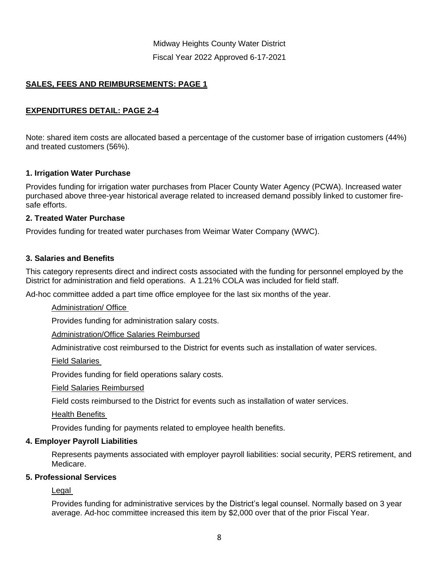Midway Heights County Water District Fiscal Year 2022 Approved 6-17-2021

## **SALES, FEES AND REIMBURSEMENTS: PAGE 1**

## **EXPENDITURES DETAIL: PAGE 2-4**

Note: shared item costs are allocated based a percentage of the customer base of irrigation customers (44%) and treated customers (56%).

## **1. Irrigation Water Purchase**

Provides funding for irrigation water purchases from Placer County Water Agency (PCWA). Increased water purchased above three-year historical average related to increased demand possibly linked to customer firesafe efforts.

## **2. Treated Water Purchase**

Provides funding for treated water purchases from Weimar Water Company (WWC).

## **3. Salaries and Benefits**

This category represents direct and indirect costs associated with the funding for personnel employed by the District for administration and field operations. A 1.21% COLA was included for field staff.

Ad-hoc committee added a part time office employee for the last six months of the year.

#### Administration/ Office

Provides funding for administration salary costs.

#### Administration/Office Salaries Reimbursed

Administrative cost reimbursed to the District for events such as installation of water services.

Field Salaries

Provides funding for field operations salary costs.

Field Salaries Reimbursed

Field costs reimbursed to the District for events such as installation of water services.

Health Benefits

Provides funding for payments related to employee health benefits.

#### **4. Employer Payroll Liabilities**

Represents payments associated with employer payroll liabilities: social security, PERS retirement, and Medicare.

## **5. Professional Services**

Legal

Provides funding for administrative services by the District's legal counsel. Normally based on 3 year average. Ad-hoc committee increased this item by \$2,000 over that of the prior Fiscal Year.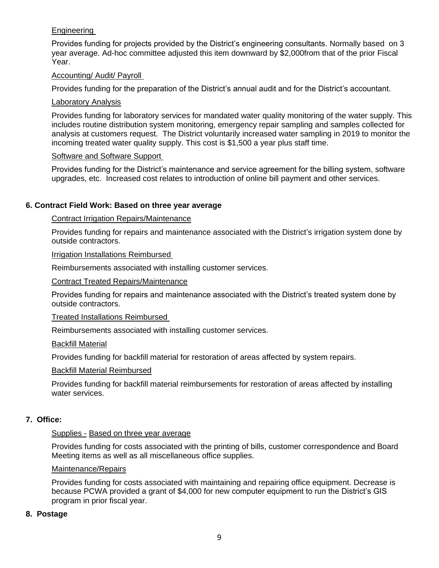## Engineering

Provides funding for projects provided by the District's engineering consultants. Normally based on 3 year average. Ad-hoc committee adjusted this item downward by \$2,000from that of the prior Fiscal Year.

## Accounting/ Audit/ Payroll

Provides funding for the preparation of the District's annual audit and for the District's accountant.

## Laboratory Analysis

Provides funding for laboratory services for mandated water quality monitoring of the water supply. This includes routine distribution system monitoring, emergency repair sampling and samples collected for analysis at customers request. The District voluntarily increased water sampling in 2019 to monitor the incoming treated water quality supply. This cost is \$1,500 a year plus staff time.

## Software and Software Support

Provides funding for the District's maintenance and service agreement for the billing system, software upgrades, etc. Increased cost relates to introduction of online bill payment and other services.

## **6. Contract Field Work: Based on three year average**

## Contract Irrigation Repairs/Maintenance

Provides funding for repairs and maintenance associated with the District's irrigation system done by outside contractors.

#### Irrigation Installations Reimbursed

Reimbursements associated with installing customer services.

## Contract Treated Repairs/Maintenance

Provides funding for repairs and maintenance associated with the District's treated system done by outside contractors.

#### Treated Installations Reimbursed

Reimbursements associated with installing customer services.

#### Backfill Material

Provides funding for backfill material for restoration of areas affected by system repairs.

#### Backfill Material Reimbursed

Provides funding for backfill material reimbursements for restoration of areas affected by installing water services.

## **7. Office:**

#### Supplies - Based on three year average

Provides funding for costs associated with the printing of bills, customer correspondence and Board Meeting items as well as all miscellaneous office supplies.

#### Maintenance/Repairs

Provides funding for costs associated with maintaining and repairing office equipment. Decrease is because PCWA provided a grant of \$4,000 for new computer equipment to run the District's GIS program in prior fiscal year.

## **8. Postage**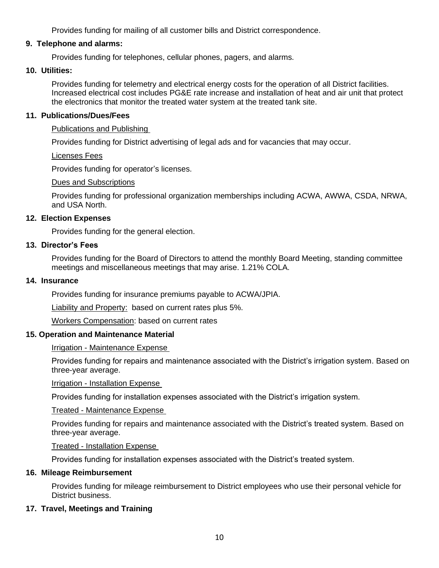Provides funding for mailing of all customer bills and District correspondence.

## **9. Telephone and alarms:**

Provides funding for telephones, cellular phones, pagers, and alarms.

## **10. Utilities:**

Provides funding for telemetry and electrical energy costs for the operation of all District facilities. Increased electrical cost includes PG&E rate increase and installation of heat and air unit that protect the electronics that monitor the treated water system at the treated tank site.

## **11. Publications/Dues/Fees**

Publications and Publishing

Provides funding for District advertising of legal ads and for vacancies that may occur.

Licenses Fees

Provides funding for operator's licenses.

Dues and Subscriptions

Provides funding for professional organization memberships including ACWA, AWWA, CSDA, NRWA, and USA North.

## **12. Election Expenses**

Provides funding for the general election.

## **13. Director's Fees**

Provides funding for the Board of Directors to attend the monthly Board Meeting, standing committee meetings and miscellaneous meetings that may arise. 1.21% COLA.

## **14. Insurance**

Provides funding for insurance premiums payable to ACWA/JPIA.

Liability and Property: based on current rates plus 5%.

Workers Compensation: based on current rates

## **15. Operation and Maintenance Material**

## Irrigation - Maintenance Expense

Provides funding for repairs and maintenance associated with the District's irrigation system. Based on three-year average.

Irrigation - Installation Expense

Provides funding for installation expenses associated with the District's irrigation system.

Treated - Maintenance Expense

Provides funding for repairs and maintenance associated with the District's treated system. Based on three-year average.

Treated - Installation Expense

Provides funding for installation expenses associated with the District's treated system.

## **16. Mileage Reimbursement**

Provides funding for mileage reimbursement to District employees who use their personal vehicle for District business.

## **17. Travel, Meetings and Training**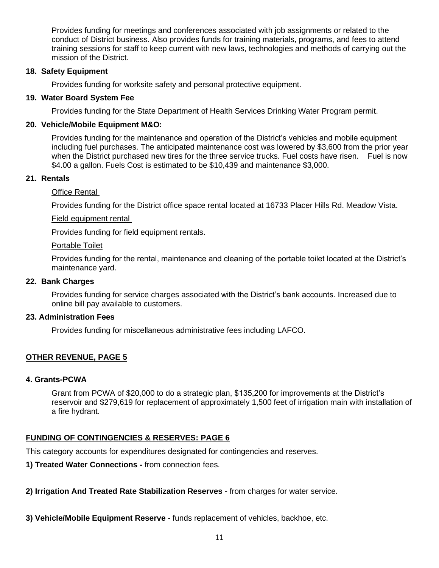Provides funding for meetings and conferences associated with job assignments or related to the conduct of District business. Also provides funds for training materials, programs, and fees to attend training sessions for staff to keep current with new laws, technologies and methods of carrying out the mission of the District.

## **18. Safety Equipment**

Provides funding for worksite safety and personal protective equipment.

## **19. Water Board System Fee**

Provides funding for the State Department of Health Services Drinking Water Program permit.

## **20. Vehicle/Mobile Equipment M&O:**

Provides funding for the maintenance and operation of the District's vehicles and mobile equipment including fuel purchases. The anticipated maintenance cost was lowered by \$3,600 from the prior year when the District purchased new tires for the three service trucks. Fuel costs have risen. Fuel is now \$4.00 a gallon. Fuels Cost is estimated to be \$10,439 and maintenance \$3,000.

## **21. Rentals**

## Office Rental

Provides funding for the District office space rental located at 16733 Placer Hills Rd. Meadow Vista.

#### Field equipment rental

Provides funding for field equipment rentals.

#### Portable Toilet

Provides funding for the rental, maintenance and cleaning of the portable toilet located at the District's maintenance yard.

#### **22. Bank Charges**

Provides funding for service charges associated with the District's bank accounts. Increased due to online bill pay available to customers.

#### **23. Administration Fees**

Provides funding for miscellaneous administrative fees including LAFCO.

## **OTHER REVENUE, PAGE 5**

#### **4. Grants-PCWA**

Grant from PCWA of \$20,000 to do a strategic plan, \$135,200 for improvements at the District's reservoir and \$279,619 for replacement of approximately 1,500 feet of irrigation main with installation of a fire hydrant.

## **FUNDING OF CONTINGENCIES & RESERVES: PAGE 6**

This category accounts for expenditures designated for contingencies and reserves.

**1) Treated Water Connections -** from connection fees.

**2) Irrigation And Treated Rate Stabilization Reserves -** from charges for water service.

**3) Vehicle/Mobile Equipment Reserve -** funds replacement of vehicles, backhoe, etc.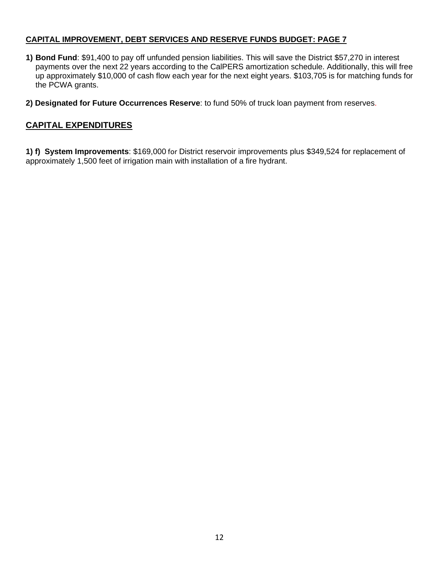## **CAPITAL IMPROVEMENT, DEBT SERVICES AND RESERVE FUNDS BUDGET: PAGE 7**

- **1) Bond Fund**: \$91,400 to pay off unfunded pension liabilities. This will save the District \$57,270 in interest payments over the next 22 years according to the CalPERS amortization schedule. Additionally, this will free up approximately \$10,000 of cash flow each year for the next eight years. \$103,705 is for matching funds for the PCWA grants.
- **2) Designated for Future Occurrences Reserve**: to fund 50% of truck loan payment from reserves.

## **CAPITAL EXPENDITURES**

**1) f) System Improvements**: \$169,000 for District reservoir improvements plus \$349,524 for replacement of approximately 1,500 feet of irrigation main with installation of a fire hydrant.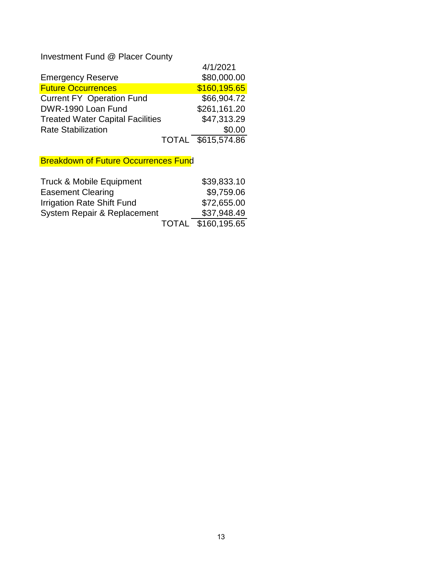Investment Fund @ Placer County

|                                         |              | 4/1/2021     |
|-----------------------------------------|--------------|--------------|
| <b>Emergency Reserve</b>                |              | \$80,000.00  |
| <b>Future Occurrences</b>               |              | \$160,195.65 |
| <b>Current FY Operation Fund</b>        |              | \$66,904.72  |
| DWR-1990 Loan Fund                      |              | \$261,161.20 |
| <b>Treated Water Capital Facilities</b> |              | \$47,313.29  |
| <b>Rate Stabilization</b>               |              | \$0.00       |
|                                         | <b>TOTAL</b> | \$615,574.86 |

**Breakdown of Future Occurrences Fund** 

| <b>Truck &amp; Mobile Equipment</b> | \$39,833.10        |
|-------------------------------------|--------------------|
| <b>Easement Clearing</b>            | \$9,759.06         |
| Irrigation Rate Shift Fund          | \$72,655.00        |
| System Repair & Replacement         | \$37,948.49        |
|                                     | TOTAL \$160,195.65 |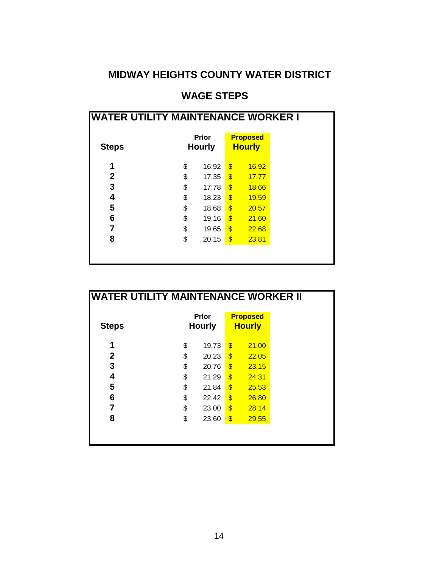## **MIDWAY HEIGHTS COUNTY WATER DISTRICT**

## **WAGE STEPS**

| <b>Steps</b> | <b>Prior</b><br><b>Hourly</b> |                         | <b>Proposed</b><br><b>Hourly</b> |
|--------------|-------------------------------|-------------------------|----------------------------------|
|              |                               |                         |                                  |
| 1            | \$<br>16.92                   | \$                      | 16.92                            |
| 2            | \$<br>17.35                   | $\overline{\mathbf{3}}$ | 17.77                            |
| 3            | \$<br>17.78                   | $\overline{\mathbf{S}}$ | 18.66                            |
| 4            | \$<br>18.23                   | $\overline{\mathbf{S}}$ | 19.59                            |
| 5            | \$<br>18.68                   | $\overline{\mathbf{S}}$ | 20.57                            |
| 6            | \$<br>19.16                   | \$                      | 21.60                            |
| 7            | \$<br>19.65                   | \$                      | 22.68                            |
| 8            | \$<br>20.15                   | \$                      | 23.81                            |

| <b>WATER UTILITY MAINTENANCE WORKER II</b> |    |                               |                         |                                  |  |  |
|--------------------------------------------|----|-------------------------------|-------------------------|----------------------------------|--|--|
| <b>Steps</b>                               |    | <b>Prior</b><br><b>Hourly</b> |                         | <b>Proposed</b><br><b>Hourly</b> |  |  |
| 1                                          | \$ | 19.73                         | \$                      | 21.00                            |  |  |
| $\mathbf{2}$                               | \$ | 20.23                         | $\mathbf{\$}$           | 22.05                            |  |  |
| 3                                          | \$ | 20.76                         | $\mathbf{\$}$           | 23.15                            |  |  |
| 4                                          | \$ | 21.29                         | $\mathbf{\$}$           | 24.31                            |  |  |
| 5                                          | \$ | 21.84                         | $\overline{\mathbf{3}}$ | 25.53                            |  |  |
| 6                                          | \$ | 22.42                         | $\overline{\mathbf{3}}$ | 26.80                            |  |  |
| 7                                          | \$ | 23.00                         | $\mathbf{\$}$           | 28.14                            |  |  |
| 8                                          | \$ | 23.60                         | \$                      | 29.55                            |  |  |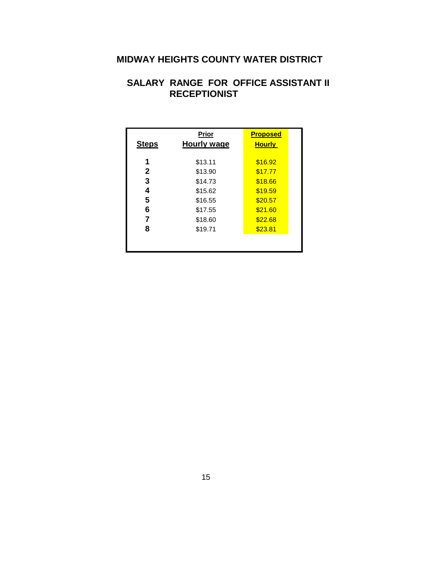## **MIDWAY HEIGHTS COUNTY WATER DISTRICT**

## **SALARY RANGE FOR OFFICE ASSISTANT II RECEPTIONIST**

|              | Prior              | <b>Proposed</b> |  |
|--------------|--------------------|-----------------|--|
| <b>Steps</b> | <b>Hourly wage</b> | <u>Hourly</u>   |  |
|              |                    |                 |  |
| 1            | \$13.11            | \$16.92         |  |
| 2            | \$13.90            | \$17.77         |  |
| 3            | \$14.73            | \$18.66         |  |
| 4            | \$15.62            | \$19.59         |  |
| 5            | \$16.55            | \$20.57         |  |
| 6            | \$17.55            | \$21.60         |  |
| 7            | \$18.60            | \$22.68         |  |
| 8            | \$19.71            | \$23.81         |  |
|              |                    |                 |  |
|              |                    |                 |  |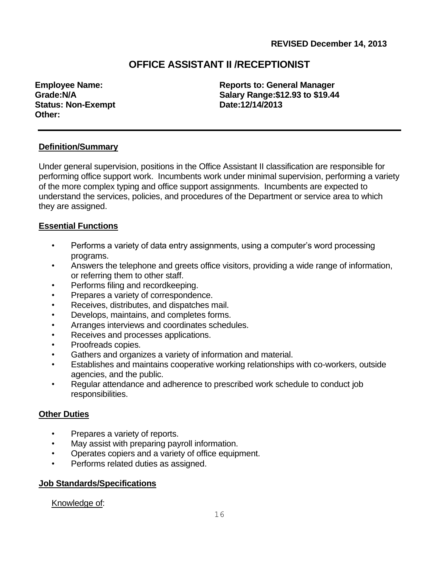## **OFFICE ASSISTANT II /RECEPTIONIST**

**Status: Non-Exempt Date:12/14/2013 Other:** 

**Employee Name: Reports to: General Manager Grade:N/A Salary Range:\$12.93 to \$19.44**

## **Definition/Summary**

Under general supervision, positions in the Office Assistant II classification are responsible for performing office support work. Incumbents work under minimal supervision, performing a variety of the more complex typing and office support assignments. Incumbents are expected to understand the services, policies, and procedures of the Department or service area to which they are assigned.

## **Essential Functions**

- Performs a variety of data entry assignments, using a computer's word processing programs.
- Answers the telephone and greets office visitors, providing a wide range of information, or referring them to other staff.
- Performs filing and recordkeeping.
- Prepares a variety of correspondence.
- Receives, distributes, and dispatches mail.
- Develops, maintains, and completes forms.
- Arranges interviews and coordinates schedules.
- Receives and processes applications.
- Proofreads copies.
- Gathers and organizes a variety of information and material.
- Establishes and maintains cooperative working relationships with co-workers, outside agencies, and the public.
- Regular attendance and adherence to prescribed work schedule to conduct job responsibilities.

## **Other Duties**

- Prepares a variety of reports.
- May assist with preparing payroll information.
- Operates copiers and a variety of office equipment.
- Performs related duties as assigned.

## **Job Standards/Specifications**

Knowledge of: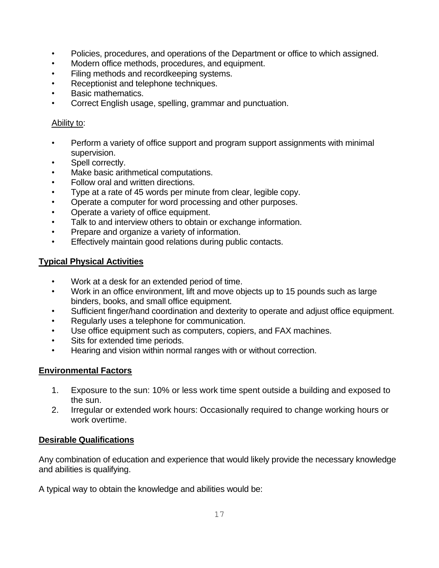- Policies, procedures, and operations of the Department or office to which assigned.
- Modern office methods, procedures, and equipment.
- Filing methods and recordkeeping systems.
- Receptionist and telephone techniques.
- Basic mathematics.
- Correct English usage, spelling, grammar and punctuation.

## Ability to:

- Perform a variety of office support and program support assignments with minimal supervision.
- Spell correctly.
- Make basic arithmetical computations.
- Follow oral and written directions.
- Type at a rate of 45 words per minute from clear, legible copy.
- Operate a computer for word processing and other purposes.
- Operate a variety of office equipment.
- Talk to and interview others to obtain or exchange information.
- Prepare and organize a variety of information.
- Effectively maintain good relations during public contacts.

## **Typical Physical Activities**

- Work at a desk for an extended period of time.
- Work in an office environment, lift and move objects up to 15 pounds such as large binders, books, and small office equipment.
- Sufficient finger/hand coordination and dexterity to operate and adjust office equipment.
- Regularly uses a telephone for communication.
- Use office equipment such as computers, copiers, and FAX machines.
- Sits for extended time periods.
- Hearing and vision within normal ranges with or without correction.

## **Environmental Factors**

- 1. Exposure to the sun: 10% or less work time spent outside a building and exposed to the sun.
- 2. Irregular or extended work hours: Occasionally required to change working hours or work overtime.

## **Desirable Qualifications**

Any combination of education and experience that would likely provide the necessary knowledge and abilities is qualifying.

A typical way to obtain the knowledge and abilities would be: